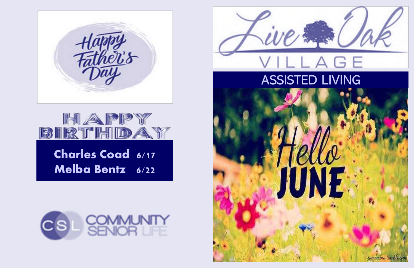## ASSISTED LIVING





## Melba Bentz 6/22